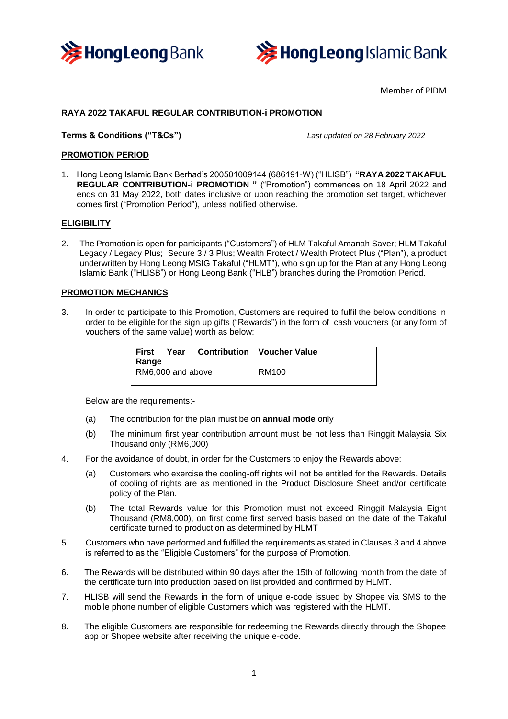



Member of PIDM

# **RAYA 2022 TAKAFUL REGULAR CONTRIBUTION-i PROMOTION**

## **Terms & Conditions ("T&Cs")** *Last updated on 28 February 2022*

## **PROMOTION PERIOD**

1. Hong Leong Islamic Bank Berhad's 200501009144 (686191-W) ("HLISB") **"RAYA 2022 TAKAFUL REGULAR CONTRIBUTION-i PROMOTION "** ("Promotion") commences on 18 April 2022 and ends on 31 May 2022, both dates inclusive or upon reaching the promotion set target, whichever comes first ("Promotion Period"), unless notified otherwise.

## **ELIGIBILITY**

2. The Promotion is open for participants ("Customers") of HLM Takaful Amanah Saver; HLM Takaful Legacy / Legacy Plus; Secure 3 / 3 Plus; Wealth Protect / Wealth Protect Plus ("Plan"), a product underwritten by Hong Leong MSIG Takaful ("HLMT"), who sign up for the Plan at any Hong Leong Islamic Bank ("HLISB") or Hong Leong Bank ("HLB") branches during the Promotion Period.

## **PROMOTION MECHANICS**

3. In order to participate to this Promotion, Customers are required to fulfil the below conditions in order to be eligible for the sign up gifts ("Rewards") in the form of cash vouchers (or any form of vouchers of the same value) worth as below:

| <b>First</b><br>Range | Year |  | <b>Contribution   Voucher Value</b> |
|-----------------------|------|--|-------------------------------------|
| RM6,000 and above     |      |  | RM100                               |

Below are the requirements:-

- (a) The contribution for the plan must be on **annual mode** only
- (b) The minimum first year contribution amount must be not less than Ringgit Malaysia Six Thousand only (RM6,000)
- 4. For the avoidance of doubt, in order for the Customers to enjoy the Rewards above:
	- (a) Customers who exercise the cooling-off rights will not be entitled for the Rewards. Details of cooling of rights are as mentioned in the Product Disclosure Sheet and/or certificate policy of the Plan.
	- (b) The total Rewards value for this Promotion must not exceed Ringgit Malaysia Eight Thousand (RM8,000), on first come first served basis based on the date of the Takaful certificate turned to production as determined by HLMT
- 5. Customers who have performed and fulfilled the requirements as stated in Clauses 3 and 4 above is referred to as the "Eligible Customers" for the purpose of Promotion.
- 6. The Rewards will be distributed within 90 days after the 15th of following month from the date of the certificate turn into production based on list provided and confirmed by HLMT.
- 7. HLISB will send the Rewards in the form of unique e-code issued by Shopee via SMS to the mobile phone number of eligible Customers which was registered with the HLMT.
- 8. The eligible Customers are responsible for redeeming the Rewards directly through the Shopee app or Shopee website after receiving the unique e-code.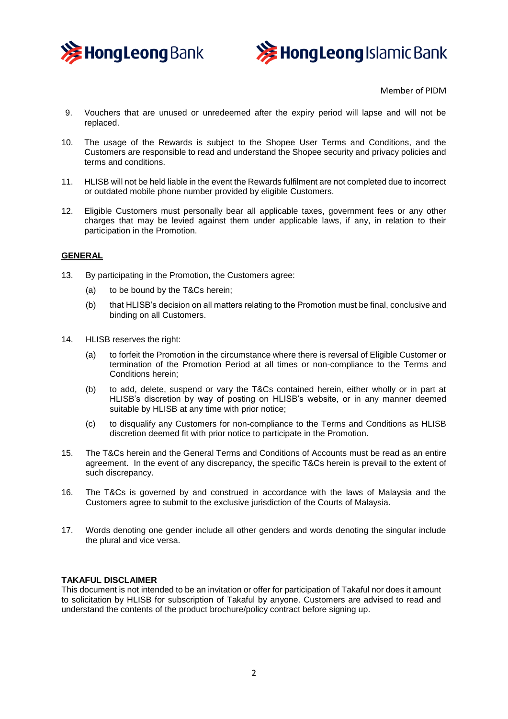



Member of PIDM

- 9. Vouchers that are unused or unredeemed after the expiry period will lapse and will not be replaced.
- 10. The usage of the Rewards is subject to the Shopee User Terms and Conditions, and the Customers are responsible to read and understand the Shopee security and privacy policies and terms and conditions.
- 11. HLISB will not be held liable in the event the Rewards fulfilment are not completed due to incorrect or outdated mobile phone number provided by eligible Customers.
- 12. Eligible Customers must personally bear all applicable taxes, government fees or any other charges that may be levied against them under applicable laws, if any, in relation to their participation in the Promotion.

## **GENERAL**

- 13. By participating in the Promotion, the Customers agree:
	- (a) to be bound by the T&Cs herein;
	- (b) that HLISB's decision on all matters relating to the Promotion must be final, conclusive and binding on all Customers.
- 14. HLISB reserves the right:
	- (a) to forfeit the Promotion in the circumstance where there is reversal of Eligible Customer or termination of the Promotion Period at all times or non-compliance to the Terms and Conditions herein;
	- (b) to add, delete, suspend or vary the T&Cs contained herein, either wholly or in part at HLISB's discretion by way of posting on HLISB's website, or in any manner deemed suitable by HLISB at any time with prior notice;
	- (c) to disqualify any Customers for non-compliance to the Terms and Conditions as HLISB discretion deemed fit with prior notice to participate in the Promotion.
- 15. The T&Cs herein and the General Terms and Conditions of Accounts must be read as an entire agreement. In the event of any discrepancy, the specific T&Cs herein is prevail to the extent of such discrepancy.
- 16. The T&Cs is governed by and construed in accordance with the laws of Malaysia and the Customers agree to submit to the exclusive jurisdiction of the Courts of Malaysia.
- 17. Words denoting one gender include all other genders and words denoting the singular include the plural and vice versa.

#### **TAKAFUL DISCLAIMER**

This document is not intended to be an invitation or offer for participation of Takaful nor does it amount to solicitation by HLISB for subscription of Takaful by anyone. Customers are advised to read and understand the contents of the product brochure/policy contract before signing up.